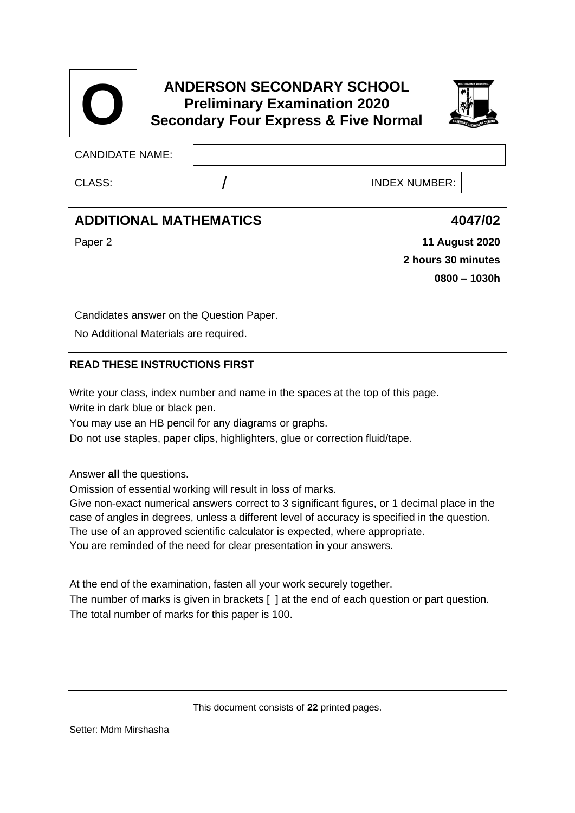

# **ANDERSON SECONDARY SCHOOL Preliminary Examination 2020 Secondary Four Express & Five Normal**



CANDIDATE NAME:

CLASS:  $\vert$  /  $\vert$  index number:

# **ADDITIONAL MATHEMATICS**

Paper 2

**4047/02**

**11 August 2020 2 hours 30 minutes 0800 – 1030h**

Candidates answer on the Question Paper.

No Additional Materials are required.

## **READ THESE INSTRUCTIONS FIRST**

Write your class, index number and name in the spaces at the top of this page. Write in dark blue or black pen.

You may use an HB pencil for any diagrams or graphs.

Do not use staples, paper clips, highlighters, glue or correction fluid/tape.

Answer **all** the questions.

Omission of essential working will result in loss of marks.

Give non-exact numerical answers correct to 3 significant figures, or 1 decimal place in the case of angles in degrees, unless a different level of accuracy is specified in the question. The use of an approved scientific calculator is expected, where appropriate.

You are reminded of the need for clear presentation in your answers.

At the end of the examination, fasten all your work securely together.

The number of marks is given in brackets [ ] at the end of each question or part question. The total number of marks for this paper is 100.

This document consists of **22** printed pages.

Setter: Mdm Mirshasha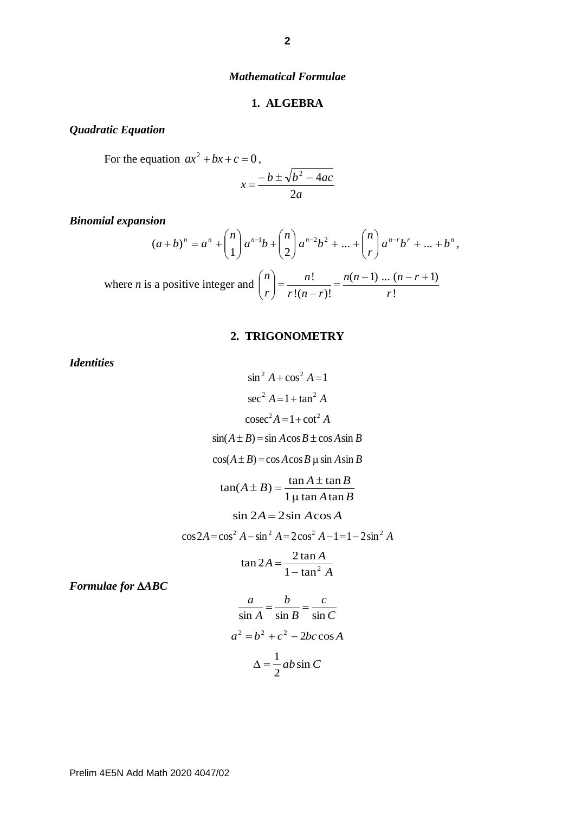**2**

#### **1. ALGEBRA**

## *Quadratic Equation*

For the equation  $ax^2 + bx + c = 0$ ,

$$
x = \frac{-b \pm \sqrt{b^2 - 4ac}}{2a}
$$

*Binomial expansion*

$$
(a+b)^n = a^n + \binom{n}{1}a^{n-1}b + \binom{n}{2}a^{n-2}b^2 + \dots + \binom{n}{r}a^{n-r}b^r + \dots + b^n,
$$
  
where *n* is a positive integer and 
$$
\binom{n}{r} = \frac{n!}{r!(n-r)!} = \frac{n(n-1)\dots(n-r+1)}{r!}
$$

### **2. TRIGONOMETRY**

*Identities*

$$
\sin^2 A + \cos^2 A = 1
$$
  
\n
$$
\sec^2 A = 1 + \tan^2 A
$$
  
\n
$$
\csc^2 A = 1 + \cot^2 A
$$
  
\n
$$
\sin(A \pm B) = \sin A \cos B \pm \cos A \sin B
$$
  
\n
$$
\cos(A \pm B) = \cos A \cos B \mu \sin A \sin B
$$
  
\n
$$
\tan(A \pm B) = \frac{\tan A \pm \tan B}{1 \mu \tan A \tan B}
$$
  
\n
$$
\sin 2A = 2 \sin A \cos A
$$
  
\n
$$
\cos 2A = \cos^2 A - \sin^2 A = 2 \cos^2 A - 1 = 1 - 2 \sin^2 A
$$
  
\n
$$
\tan 2A = \frac{2 \tan A}{1 - \tan^2 A}
$$
  
\nFormulae for  $\triangle ABC$   
\n
$$
\frac{a}{\sin A} = \frac{b}{\sin B} = \frac{c}{\sin C}
$$
  
\n
$$
a^2 = b^2 + c^2 - 2bc \cos A
$$

$$
\Delta = \frac{1}{2} ab \sin C
$$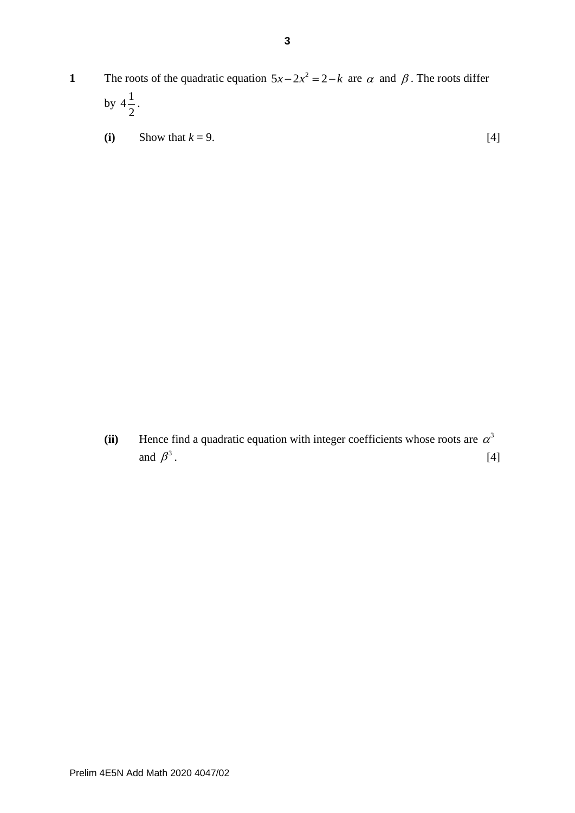- **1** The roots of the quadratic equation  $5x 2x^2 = 2 k$  are  $\alpha$  and  $\beta$ . The roots differ by  $4\frac{1}{2}$ 2 .
	- **(i)** Show that  $k = 9$ . [4]

(ii) Hence find a quadratic equation with integer coefficients whose roots are  $\alpha^3$ and  $\beta^3$  $\beta^3$ . [4]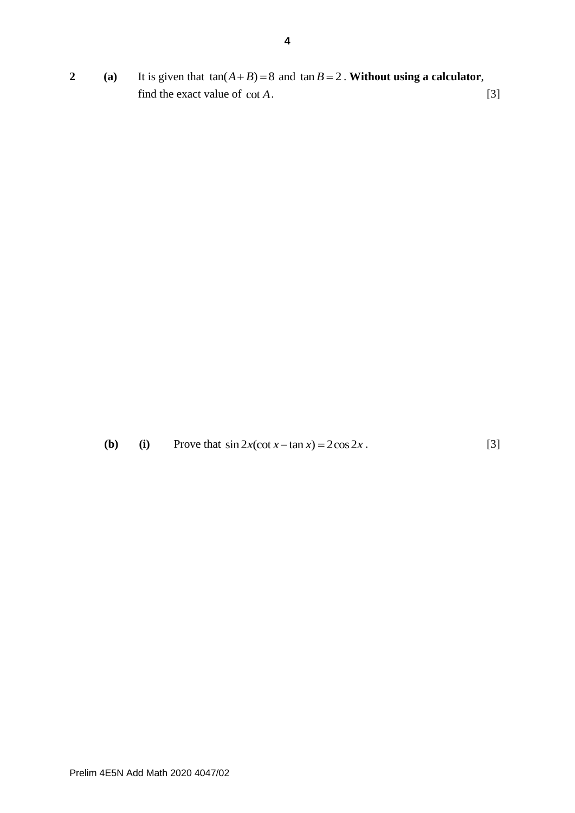**2 (a)** It is given that  $tan(A+B) = 8$  and  $tan B = 2$ . **Without using a calculator**, find the exact value of  $\cot A$ . [3]

**4**

**(b) (i)** Prove that  $\sin 2x(\cot x - \tan x) = 2\cos 2x$  . [3]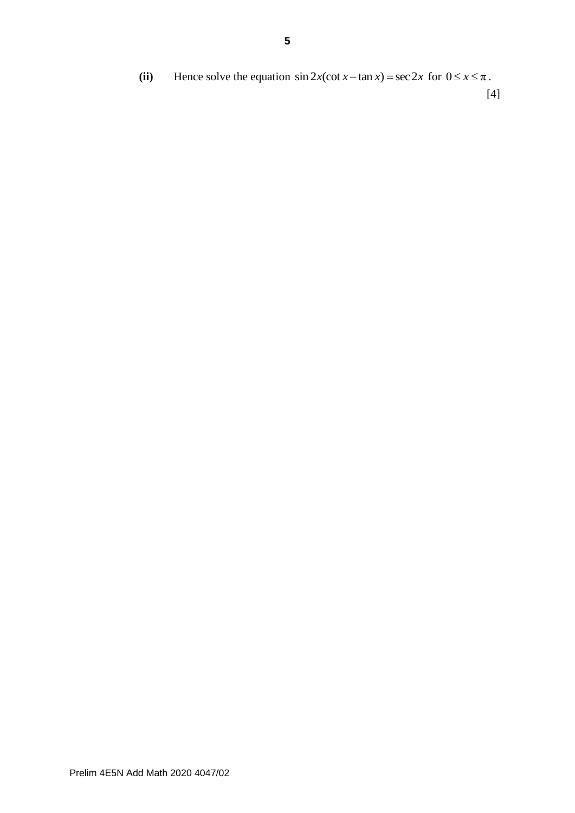(ii) Hence solve the equation  $\sin 2x(\cot x - \tan x) = \sec 2x$  for  $0 \le x \le \pi$ . [4]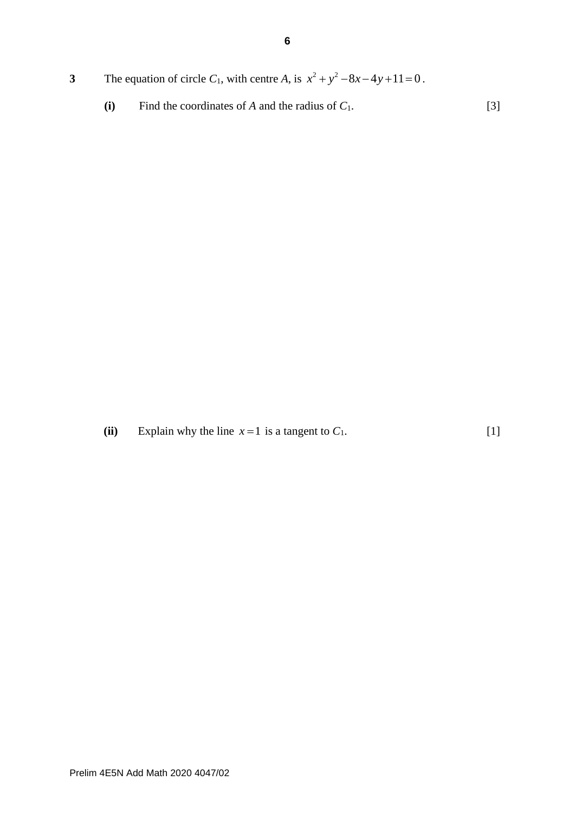- **3** The equation of circle *C*<sub>1</sub>, with centre *A*, is  $x^2 + y^2 8x 4y + 11 = 0$ .
	- **(i)** Find the coordinates of *A* and the radius of  $C_1$ . [3]

(ii) Explain why the line  $x = 1$  is a tangent to  $C_1$ . [1]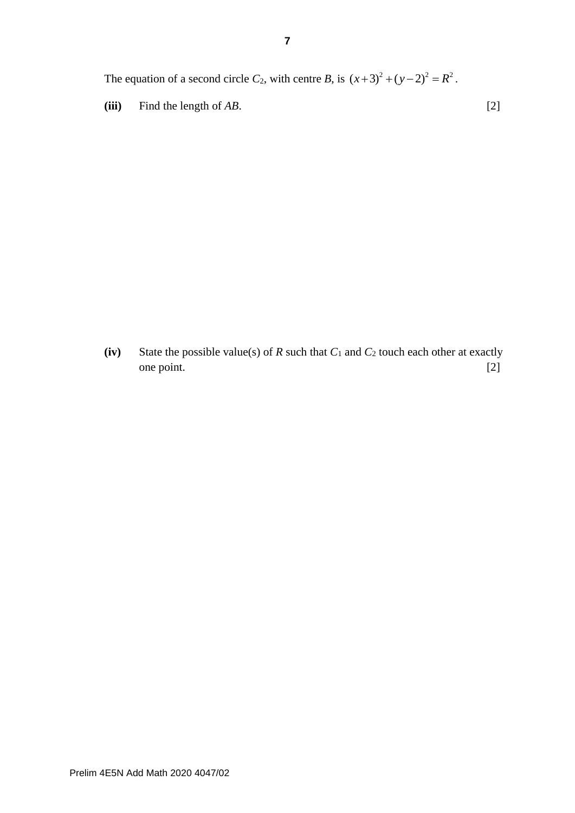The equation of a second circle  $C_2$ , with centre *B*, is  $(x+3)^2 + (y-2)^2 = R^2$ .

**(iii)** Find the length of *AB*. [2]

**(iv)** State the possible value(s) of *R* such that *C*<sup>1</sup> and *C*<sup>2</sup> touch each other at exactly one point. [2]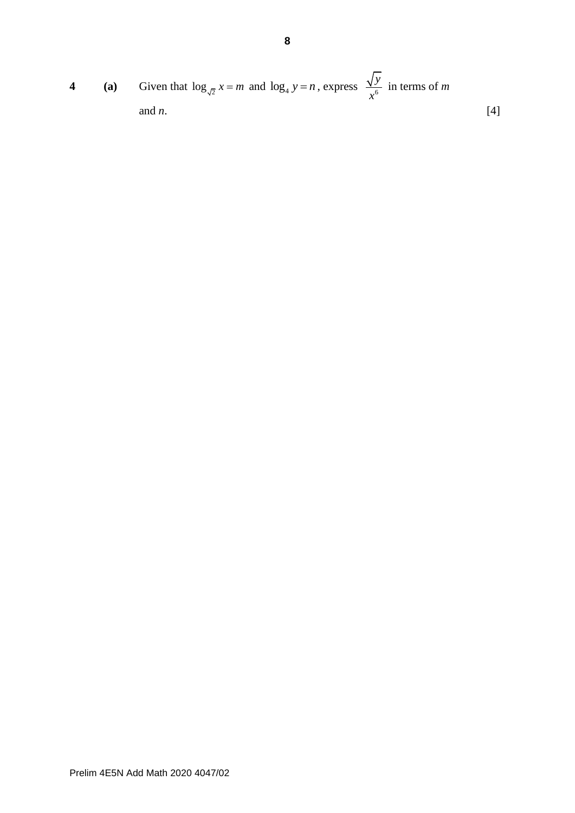**4 (a)** Given that  $\log_{\sqrt{2}} x = m$  and  $\log_4 y = n$ , express  $\frac{\sqrt{3}}{2}$ *y x* in terms of *m* and *n*.  $[4]$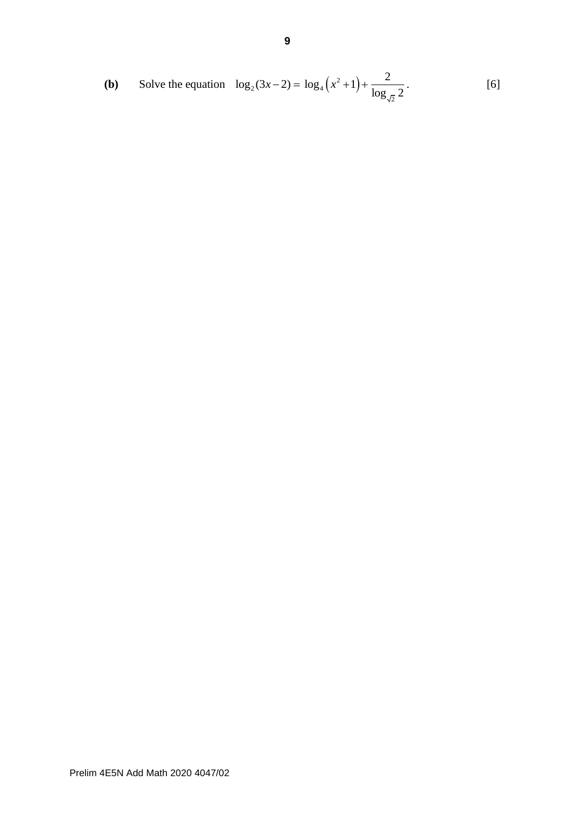**(b)** Solve the equation 
$$
\log_2(3x-2) = \log_4(x^2+1) + \frac{2}{\log_{10} 2}
$$
. [6]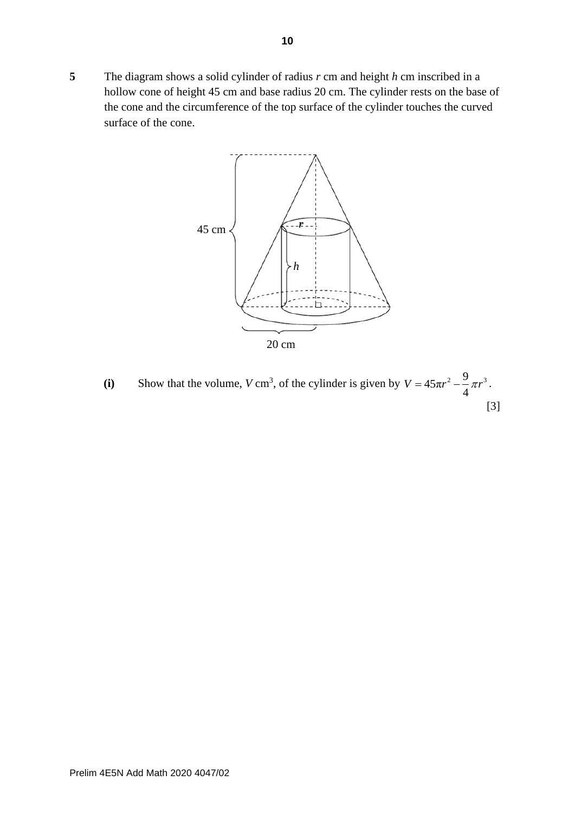**5** The diagram shows a solid cylinder of radius *r* cm and height *h* cm inscribed in a hollow cone of height 45 cm and base radius 20 cm. The cylinder rests on the base of the cone and the circumference of the top surface of the cylinder touches the curved surface of the cone.



(i) Show that the volume, *V* cm<sup>3</sup>, of the cylinder is given by  $V = 45\pi r^2 - \frac{9}{4}\pi r^3$ 4  $V = 45\pi r^2 - \frac{9}{4}\pi r^3$ . [3]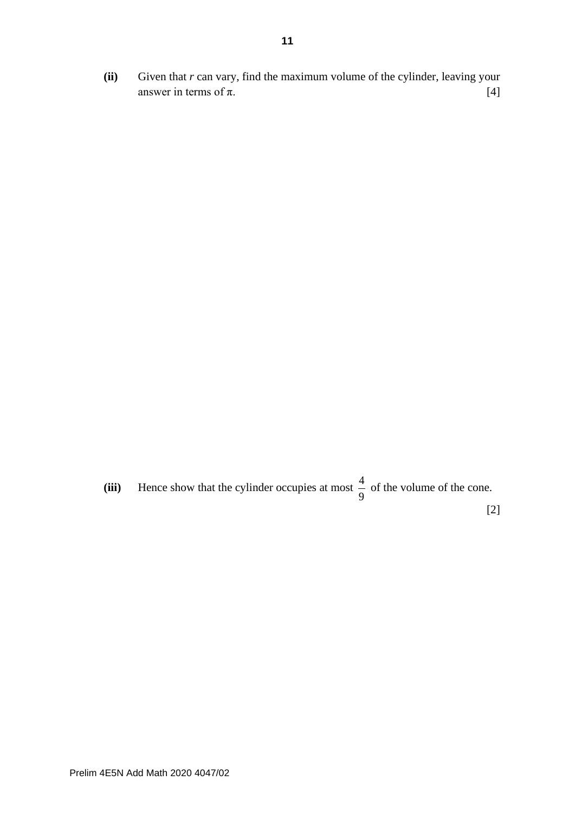**(ii)** Given that *r* can vary, find the maximum volume of the cylinder, leaving your answer in terms of  $\pi$ . [4]

(iii) Hence show that the cylinder occupies at most  $\frac{4}{5}$ 9 of the volume of the cone. [2]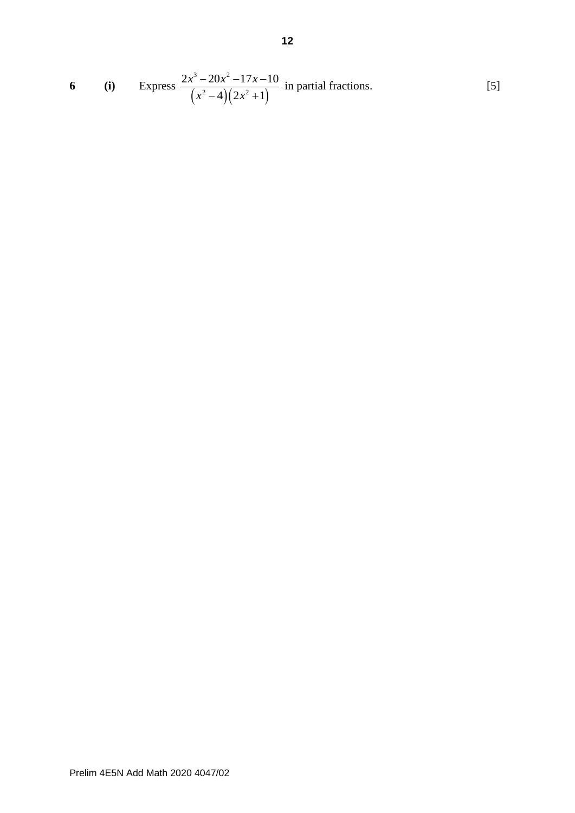6 (i) Express 
$$
\frac{2x^3 - 20x^2 - 17x - 10}{(x^2 - 4)(2x^2 + 1)}
$$
 in partial fractions. [5]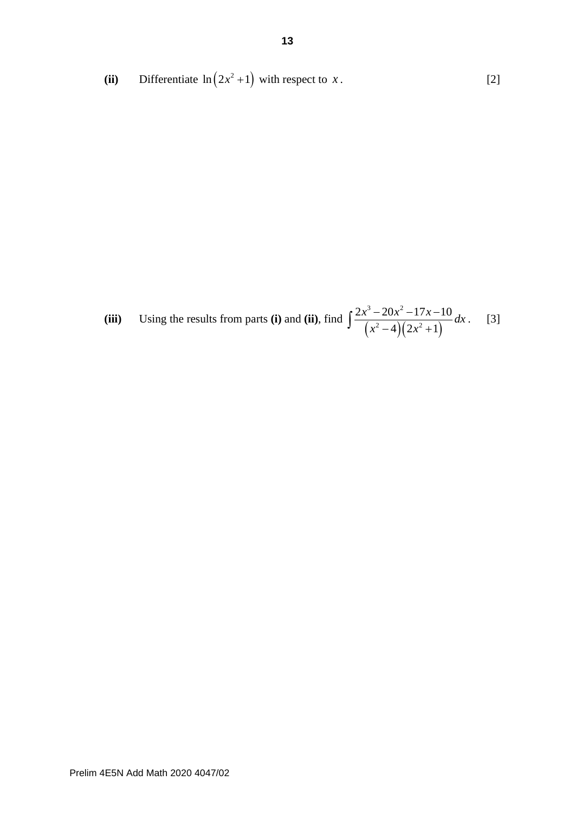(ii) Differentiate  $\ln (2x^2 + 1)$  with respect to  $x$ . [2]

(iii) Using the results from parts (i) and (ii), find 
$$
\int \frac{2x^3 - 20x^2 - 17x - 10}{(x^2 - 4)(2x^2 + 1)} dx
$$
. [3]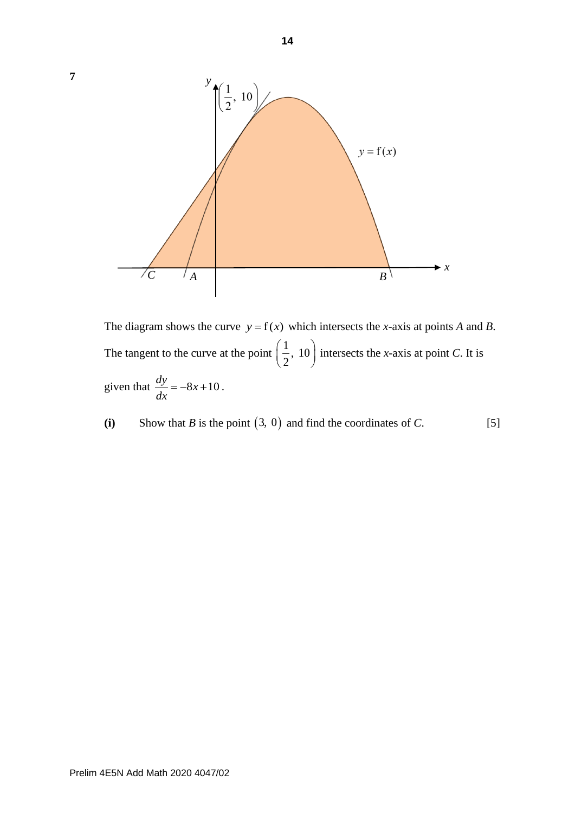

The diagram shows the curve  $y = f(x)$  which intersects the *x*-axis at points *A* and *B*. The tangent to the curve at the point  $\left(\frac{1}{2}, 10\right)$  $\left(\frac{1}{2}, 10\right)$  intersects the *x*-axis at point *C*. It is given that  $\frac{dy}{dx} = -8x + 10$ *dx*  $=-8x+10$ .

(i) Show that *B* is the point  $(3, 0)$  and find the coordinates of *C*.  $[5]$ 

**7**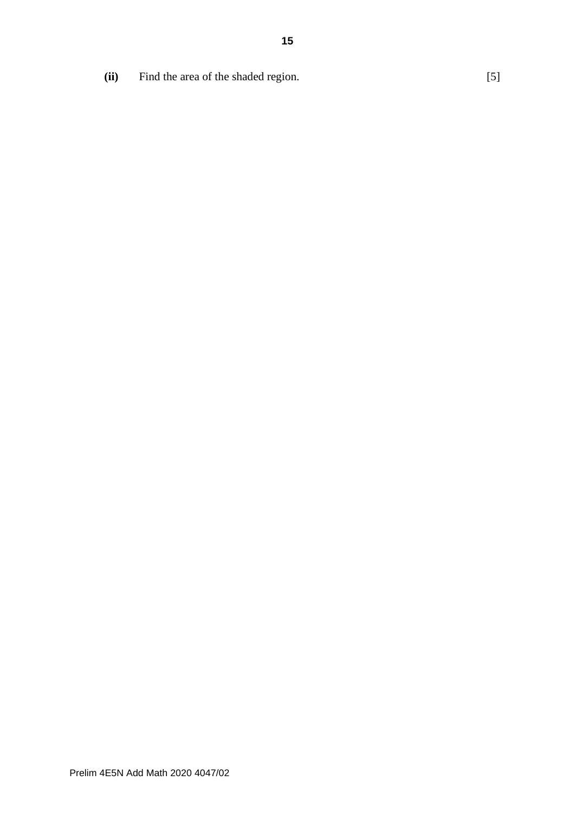**(ii)** Find the area of the shaded region. [5]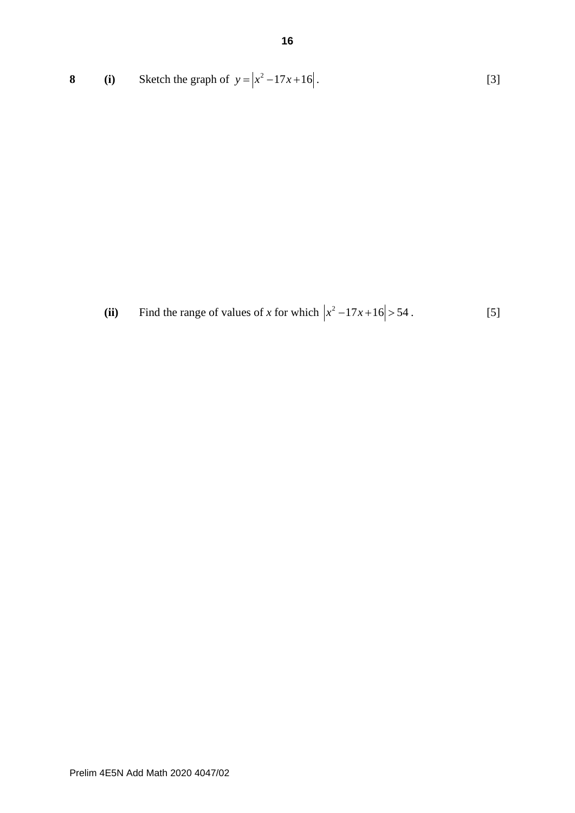8 (i) Sketch the graph of 
$$
y = |x^2 - 17x + 16|
$$
. [3]

(ii) Find the range of values of *x* for which  $|x^2 - 17x + 16| > 54$ . [5]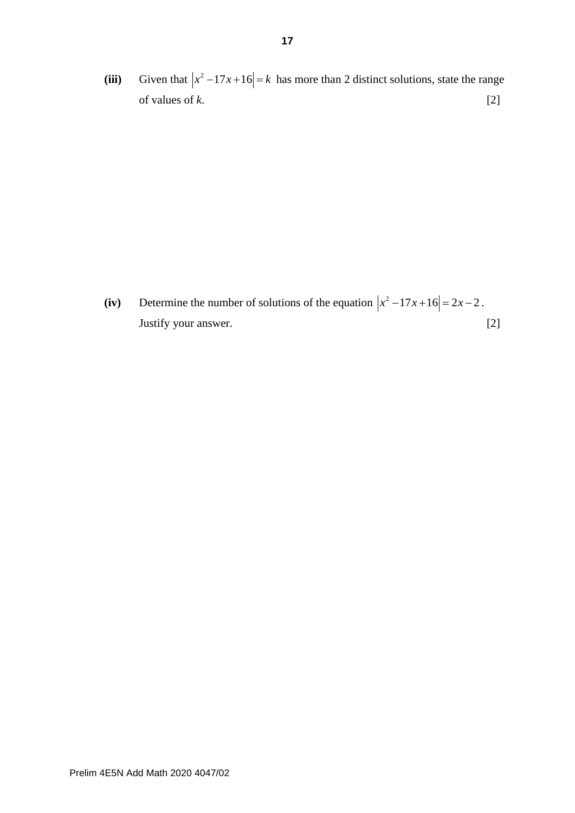(iii) Given that  $|x^2 - 17x + 16| = k$  has more than 2 distinct solutions, state the range of values of  $k$ . [2]

(iv) Determine the number of solutions of the equation  $|x^2 - 17x + 16| = 2x - 2$ . Justify your answer. [2]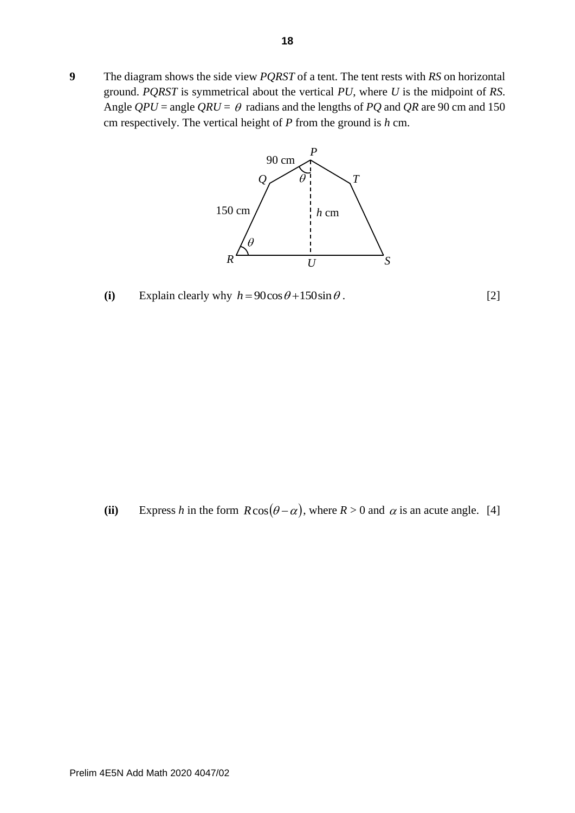**9** The diagram shows the side view *PQRST* of a tent. The tent rests with *RS* on horizontal ground. *PQRST* is symmetrical about the vertical *PU*, where *U* is the midpoint of *RS*. Angle  $QPU = \text{angle } QRU = \theta$  radians and the lengths of PQ and  $QR$  are 90 cm and 150 cm respectively. The vertical height of *P* from the ground is *h* cm.



(i) Explain clearly why  $h = 90\cos\theta + 150\sin\theta$ . [2]

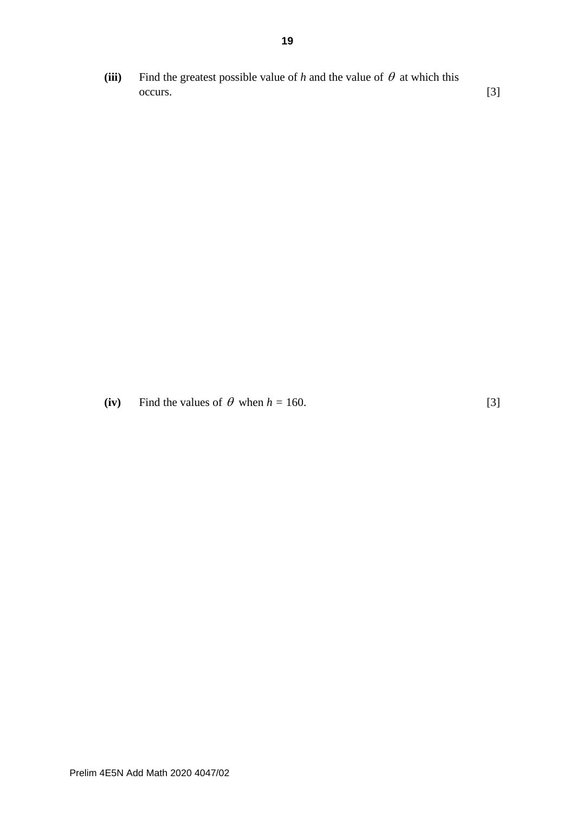(iii) Find the greatest possible value of  $h$  and the value of  $\theta$  at which this occurs. [3]

(iv) Find the values of  $\theta$  when  $h = 160$ . [3]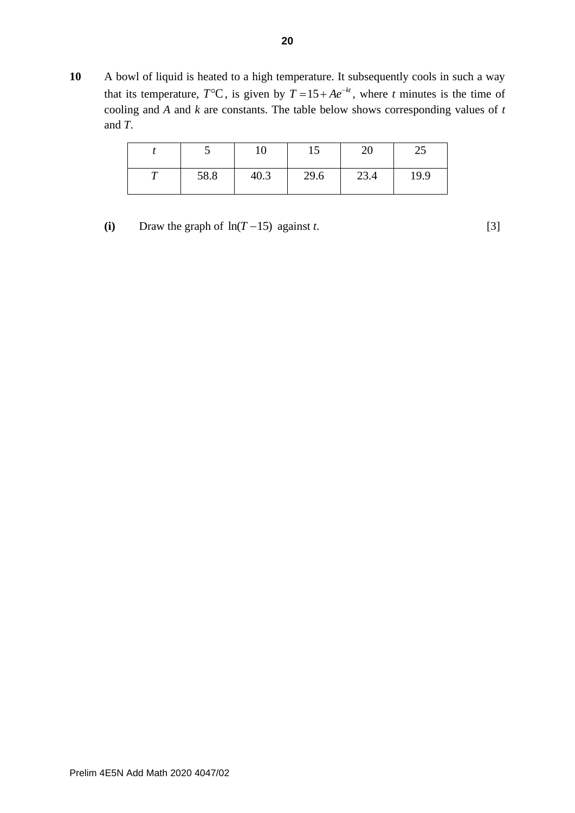**10** A bowl of liquid is heated to a high temperature. It subsequently cools in such a way that its temperature,  $T^{\circ}C$ , is given by  $T = 15 + Ae^{-kt}$ , where *t* minutes is the time of cooling and *A* and *k* are constants. The table below shows corresponding values of *t* and *T*.

| ັ    | ΙV   | ⊥୰   | า∩<br>∠∪ | n F<br>رے |
|------|------|------|----------|-----------|
| 58.8 | 40.3 | 29.6 | 23.4     | 19.9      |

(i) Draw the graph of  $ln(T - 15)$  against *t*. [3]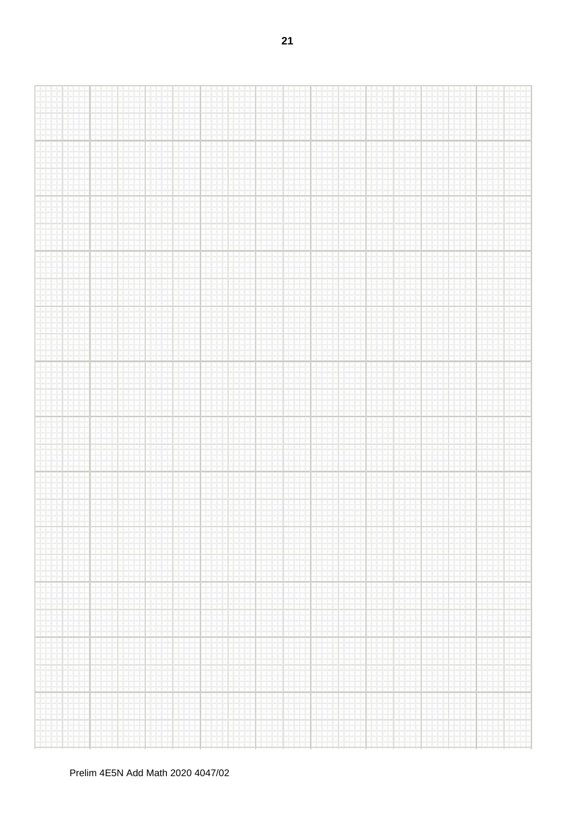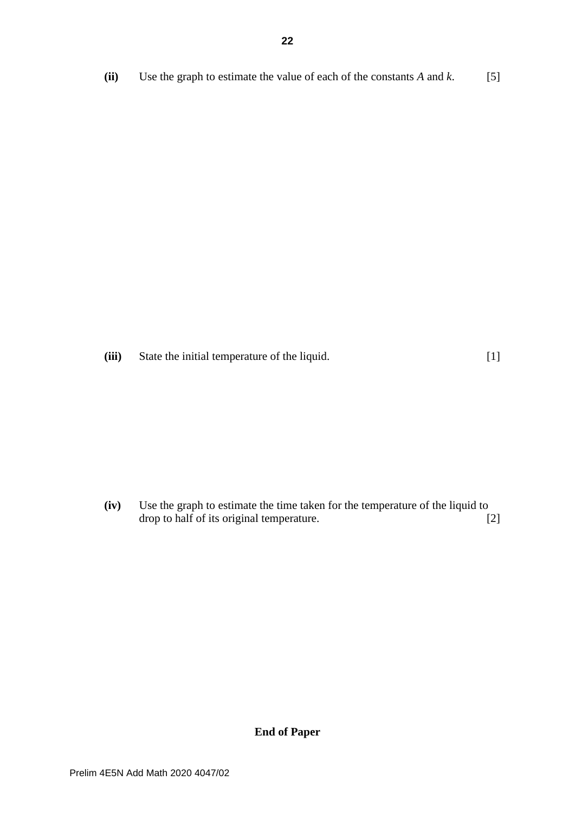**(ii)** Use the graph to estimate the value of each of the constants *A* and *k*. [5]

**(iii)** State the initial temperature of the liquid. [1]

**(iv)** Use the graph to estimate the time taken for the temperature of the liquid to drop to half of its original temperature. [2]

#### **End of Paper**